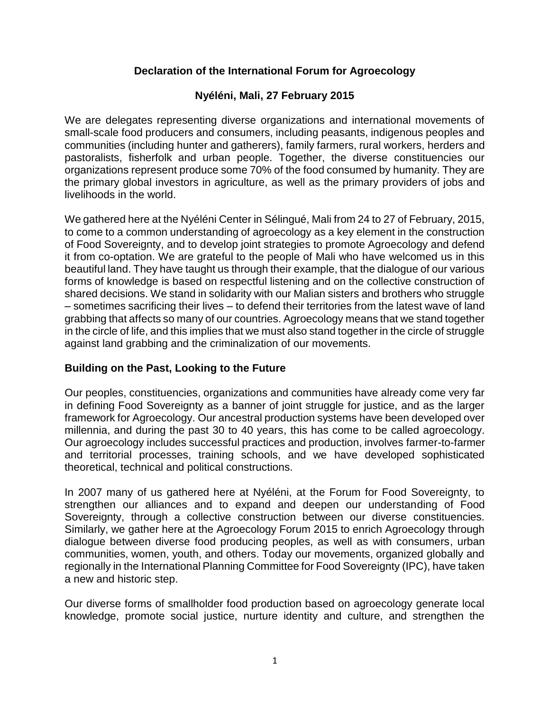# **Declaration of the International Forum for Agroecology**

# **Nyéléni, Mali, 27 February 2015**

We are delegates representing diverse organizations and international movements of small-scale food producers and consumers, including peasants, indigenous peoples and communities (including hunter and gatherers), family farmers, rural workers, herders and pastoralists, fisherfolk and urban people. Together, the diverse constituencies our organizations represent produce some 70% of the food consumed by humanity. They are the primary global investors in agriculture, as well as the primary providers of jobs and livelihoods in the world.

We gathered here at the Nyéléni Center in Sélingué, Mali from 24 to 27 of February, 2015, to come to a common understanding of agroecology as a key element in the construction of Food Sovereignty, and to develop joint strategies to promote Agroecology and defend it from co-optation. We are grateful to the people of Mali who have welcomed us in this beautiful land. They have taught us through their example, that the dialogue of our various forms of knowledge is based on respectful listening and on the collective construction of shared decisions. We stand in solidarity with our Malian sisters and brothers who struggle – sometimes sacrificing their lives – to defend their territories from the latest wave of land grabbing that affects so many of our countries. Agroecology means that we stand together in the circle of life, and this implies that we must also stand together in the circle of struggle against land grabbing and the criminalization of our movements.

# **Building on the Past, Looking to the Future**

Our peoples, constituencies, organizations and communities have already come very far in defining Food Sovereignty as a banner of joint struggle for justice, and as the larger framework for Agroecology. Our ancestral production systems have been developed over millennia, and during the past 30 to 40 years, this has come to be called agroecology. Our agroecology includes successful practices and production, involves farmer-to-farmer and territorial processes, training schools, and we have developed sophisticated theoretical, technical and political constructions.

In 2007 many of us gathered here at Nyéléni, at the Forum for Food Sovereignty, to strengthen our alliances and to expand and deepen our understanding of Food Sovereignty, through a collective construction between our diverse constituencies. Similarly, we gather here at the Agroecology Forum 2015 to enrich Agroecology through dialogue between diverse food producing peoples, as well as with consumers, urban communities, women, youth, and others. Today our movements, organized globally and regionally in the International Planning Committee for Food Sovereignty (IPC), have taken a new and historic step.

Our diverse forms of smallholder food production based on agroecology generate local knowledge, promote social justice, nurture identity and culture, and strengthen the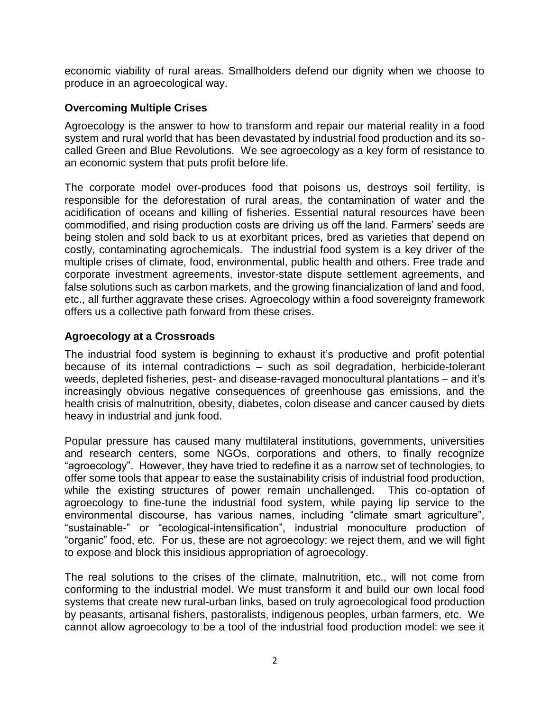economic viability of rural areas. Smallholders defend our dignity when we choose to produce in an agroecological way.

### **Overcoming Multiple Crises**

Agroecology is the answer to how to transform and repair our material reality in a food system and rural world that has been devastated by industrial food production and its socalled Green and Blue Revolutions. We see agroecology as a key form of resistance to an economic system that puts profit before life.

The corporate model over-produces food that poisons us, destroys soil fertility, is responsible for the deforestation of rural areas, the contamination of water and the acidification of oceans and killing of fisheries. Essential natural resources have been commodified, and rising production costs are driving us off the land. Farmers' seeds are being stolen and sold back to us at exorbitant prices, bred as varieties that depend on costly, contaminating agrochemicals. The industrial food system is a key driver of the multiple crises of climate, food, environmental, public health and others. Free trade and corporate investment agreements, investor-state dispute settlement agreements, and false solutions such as carbon markets, and the growing financialization of land and food, etc., all further aggravate these crises. Agroecology within a food sovereignty framework offers us a collective path forward from these crises.

### **Agroecology at a Crossroads**

The industrial food system is beginning to exhaust it's productive and profit potential because of its internal contradictions – such as soil degradation, herbicide-tolerant weeds, depleted fisheries, pest- and disease-ravaged monocultural plantations – and it's increasingly obvious negative consequences of greenhouse gas emissions, and the health crisis of malnutrition, obesity, diabetes, colon disease and cancer caused by diets heavy in industrial and junk food.

Popular pressure has caused many multilateral institutions, governments, universities and research centers, some NGOs, corporations and others, to finally recognize "agroecology". However, they have tried to redefine it as a narrow set of technologies, to offer some tools that appear to ease the sustainability crisis of industrial food production, while the existing structures of power remain unchallenged. This co-optation of agroecology to fine-tune the industrial food system, while paying lip service to the environmental discourse, has various names, including "climate smart agriculture", "sustainable-" or "ecological-intensification", industrial monoculture production of "organic" food, etc. For us, these are not agroecology: we reject them, and we will fight to expose and block this insidious appropriation of agroecology.

The real solutions to the crises of the climate, malnutrition, etc., will not come from conforming to the industrial model. We must transform it and build our own local food systems that create new rural-urban links, based on truly agroecological food production by peasants, artisanal fishers, pastoralists, indigenous peoples, urban farmers, etc. We cannot allow agroecology to be a tool of the industrial food production model: we see it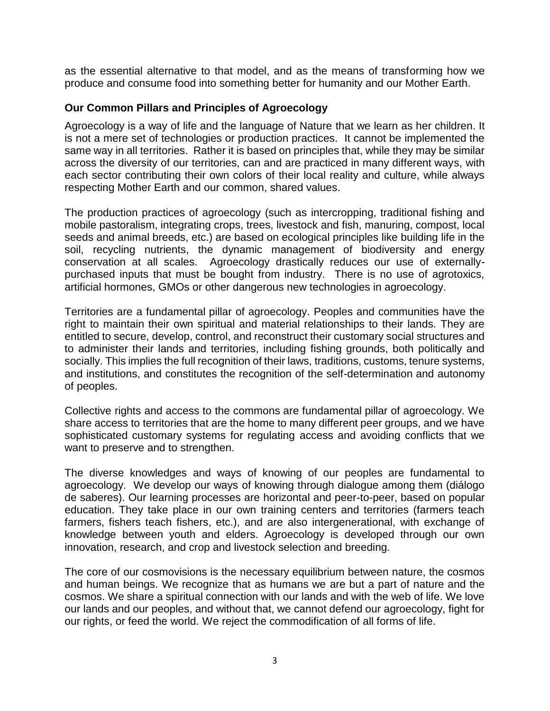as the essential alternative to that model, and as the means of transforming how we produce and consume food into something better for humanity and our Mother Earth.

#### **Our Common Pillars and Principles of Agroecology**

Agroecology is a way of life and the language of Nature that we learn as her children. It is not a mere set of technologies or production practices. It cannot be implemented the same way in all territories. Rather it is based on principles that, while they may be similar across the diversity of our territories, can and are practiced in many different ways, with each sector contributing their own colors of their local reality and culture, while always respecting Mother Earth and our common, shared values.

The production practices of agroecology (such as intercropping, traditional fishing and mobile pastoralism, integrating crops, trees, livestock and fish, manuring, compost, local seeds and animal breeds, etc.) are based on ecological principles like building life in the soil, recycling nutrients, the dynamic management of biodiversity and energy conservation at all scales. Agroecology drastically reduces our use of externallypurchased inputs that must be bought from industry. There is no use of agrotoxics, artificial hormones, GMOs or other dangerous new technologies in agroecology.

Territories are a fundamental pillar of agroecology. Peoples and communities have the right to maintain their own spiritual and material relationships to their lands. They are entitled to secure, develop, control, and reconstruct their customary social structures and to administer their lands and territories, including fishing grounds, both politically and socially. This implies the full recognition of their laws, traditions, customs, tenure systems, and institutions, and constitutes the recognition of the self-determination and autonomy of peoples.

Collective rights and access to the commons are fundamental pillar of agroecology. We share access to territories that are the home to many different peer groups, and we have sophisticated customary systems for regulating access and avoiding conflicts that we want to preserve and to strengthen.

The diverse knowledges and ways of knowing of our peoples are fundamental to agroecology. We develop our ways of knowing through dialogue among them (diálogo de saberes). Our learning processes are horizontal and peer-to-peer, based on popular education. They take place in our own training centers and territories (farmers teach farmers, fishers teach fishers, etc.), and are also intergenerational, with exchange of knowledge between youth and elders. Agroecology is developed through our own innovation, research, and crop and livestock selection and breeding.

The core of our cosmovisions is the necessary equilibrium between nature, the cosmos and human beings. We recognize that as humans we are but a part of nature and the cosmos. We share a spiritual connection with our lands and with the web of life. We love our lands and our peoples, and without that, we cannot defend our agroecology, fight for our rights, or feed the world. We reject the commodification of all forms of life.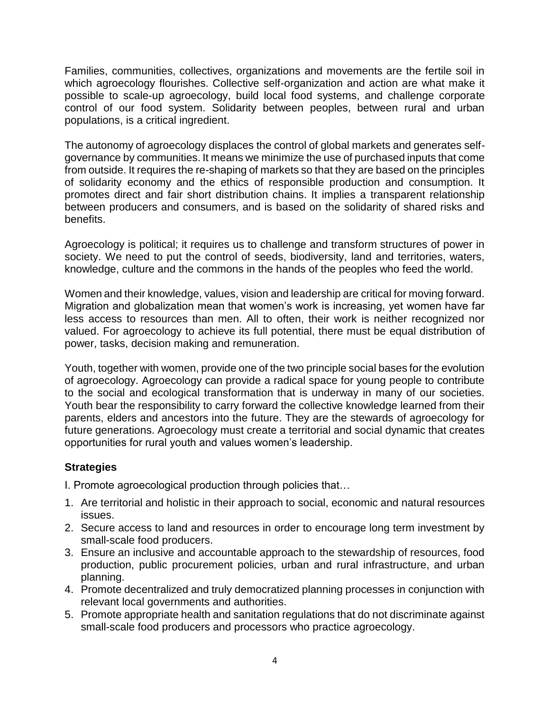Families, communities, collectives, organizations and movements are the fertile soil in which agroecology flourishes. Collective self-organization and action are what make it possible to scale-up agroecology, build local food systems, and challenge corporate control of our food system. Solidarity between peoples, between rural and urban populations, is a critical ingredient.

The autonomy of agroecology displaces the control of global markets and generates selfgovernance by communities. It means we minimize the use of purchased inputs that come from outside. It requires the re-shaping of markets so that they are based on the principles of solidarity economy and the ethics of responsible production and consumption. It promotes direct and fair short distribution chains. It implies a transparent relationship between producers and consumers, and is based on the solidarity of shared risks and benefits.

Agroecology is political; it requires us to challenge and transform structures of power in society. We need to put the control of seeds, biodiversity, land and territories, waters, knowledge, culture and the commons in the hands of the peoples who feed the world.

Women and their knowledge, values, vision and leadership are critical for moving forward. Migration and globalization mean that women's work is increasing, yet women have far less access to resources than men. All to often, their work is neither recognized nor valued. For agroecology to achieve its full potential, there must be equal distribution of power, tasks, decision making and remuneration.

Youth, together with women, provide one of the two principle social bases for the evolution of agroecology. Agroecology can provide a radical space for young people to contribute to the social and ecological transformation that is underway in many of our societies. Youth bear the responsibility to carry forward the collective knowledge learned from their parents, elders and ancestors into the future. They are the stewards of agroecology for future generations. Agroecology must create a territorial and social dynamic that creates opportunities for rural youth and values women's leadership.

# **Strategies**

I. Promote agroecological production through policies that…

- 1. Are territorial and holistic in their approach to social, economic and natural resources issues.
- 2. Secure access to land and resources in order to encourage long term investment by small-scale food producers.
- 3. Ensure an inclusive and accountable approach to the stewardship of resources, food production, public procurement policies, urban and rural infrastructure, and urban planning.
- 4. Promote decentralized and truly democratized planning processes in conjunction with relevant local governments and authorities.
- 5. Promote appropriate health and sanitation regulations that do not discriminate against small-scale food producers and processors who practice agroecology.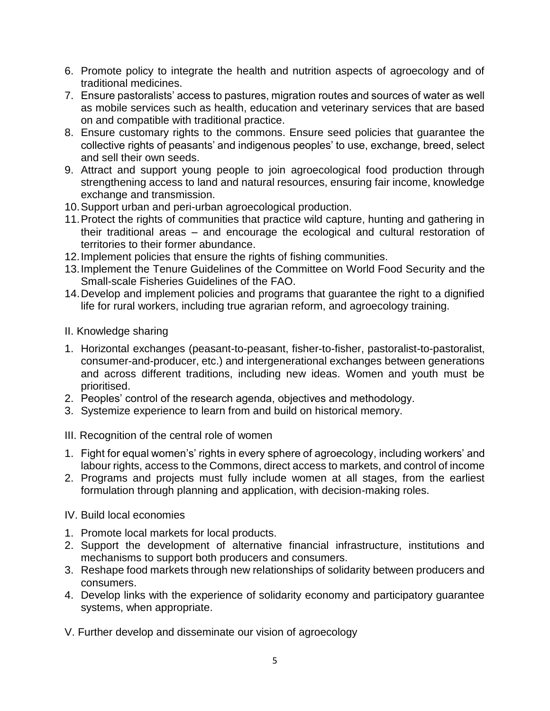- 6. Promote policy to integrate the health and nutrition aspects of agroecology and of traditional medicines.
- 7. Ensure pastoralists' access to pastures, migration routes and sources of water as well as mobile services such as health, education and veterinary services that are based on and compatible with traditional practice.
- 8. Ensure customary rights to the commons. Ensure seed policies that guarantee the collective rights of peasants' and indigenous peoples' to use, exchange, breed, select and sell their own seeds.
- 9. Attract and support young people to join agroecological food production through strengthening access to land and natural resources, ensuring fair income, knowledge exchange and transmission.
- 10.Support urban and peri-urban agroecological production.
- 11.Protect the rights of communities that practice wild capture, hunting and gathering in their traditional areas – and encourage the ecological and cultural restoration of territories to their former abundance.
- 12.Implement policies that ensure the rights of fishing communities.
- 13.Implement the Tenure Guidelines of the Committee on World Food Security and the Small-scale Fisheries Guidelines of the FAO.
- 14.Develop and implement policies and programs that guarantee the right to a dignified life for rural workers, including true agrarian reform, and agroecology training.
- II. Knowledge sharing
- 1. Horizontal exchanges (peasant-to-peasant, fisher-to-fisher, pastoralist-to-pastoralist, consumer-and-producer, etc.) and intergenerational exchanges between generations and across different traditions, including new ideas. Women and youth must be prioritised.
- 2. Peoples' control of the research agenda, objectives and methodology.
- 3. Systemize experience to learn from and build on historical memory.
- III. Recognition of the central role of women
- 1. Fight for equal women's' rights in every sphere of agroecology, including workers' and labour rights, access to the Commons, direct access to markets, and control of income
- 2. Programs and projects must fully include women at all stages, from the earliest formulation through planning and application, with decision-making roles.
- IV. Build local economies
- 1. Promote local markets for local products.
- 2. Support the development of alternative financial infrastructure, institutions and mechanisms to support both producers and consumers.
- 3. Reshape food markets through new relationships of solidarity between producers and consumers.
- 4. Develop links with the experience of solidarity economy and participatory guarantee systems, when appropriate.
- V. Further develop and disseminate our vision of agroecology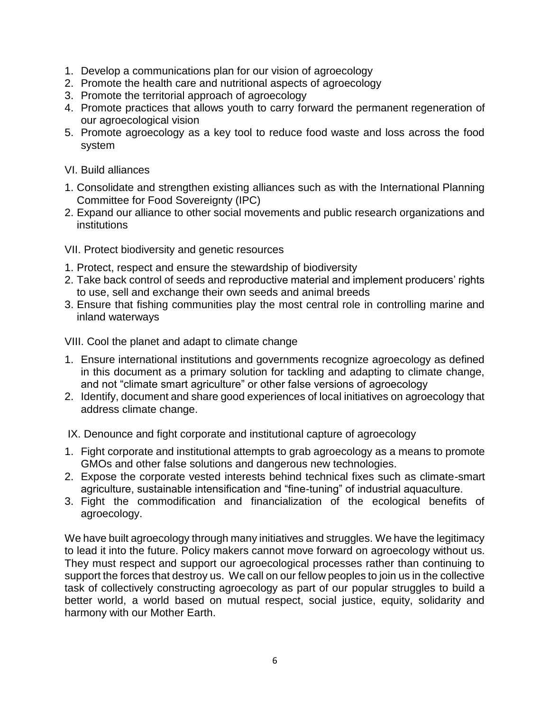- 1. Develop a communications plan for our vision of agroecology
- 2. Promote the health care and nutritional aspects of agroecology
- 3. Promote the territorial approach of agroecology
- 4. Promote practices that allows youth to carry forward the permanent regeneration of our agroecological vision
- 5. Promote agroecology as a key tool to reduce food waste and loss across the food system
- VI. Build alliances
- 1. Consolidate and strengthen existing alliances such as with the International Planning Committee for Food Sovereignty (IPC)
- 2. Expand our alliance to other social movements and public research organizations and institutions
- VII. Protect biodiversity and genetic resources
- 1. Protect, respect and ensure the stewardship of biodiversity
- 2. Take back control of seeds and reproductive material and implement producers' rights to use, sell and exchange their own seeds and animal breeds
- 3. Ensure that fishing communities play the most central role in controlling marine and inland waterways

VIII. Cool the planet and adapt to climate change

- 1. Ensure international institutions and governments recognize agroecology as defined in this document as a primary solution for tackling and adapting to climate change, and not "climate smart agriculture" or other false versions of agroecology
- 2. Identify, document and share good experiences of local initiatives on agroecology that address climate change.

IX. Denounce and fight corporate and institutional capture of agroecology

- 1. Fight corporate and institutional attempts to grab agroecology as a means to promote GMOs and other false solutions and dangerous new technologies.
- 2. Expose the corporate vested interests behind technical fixes such as climate-smart agriculture, sustainable intensification and "fine-tuning" of industrial aquaculture.
- 3. Fight the commodification and financialization of the ecological benefits of agroecology.

We have built agroecology through many initiatives and struggles. We have the legitimacy to lead it into the future. Policy makers cannot move forward on agroecology without us. They must respect and support our agroecological processes rather than continuing to support the forces that destroy us. We call on our fellow peoples to join us in the collective task of collectively constructing agroecology as part of our popular struggles to build a better world, a world based on mutual respect, social justice, equity, solidarity and harmony with our Mother Earth.